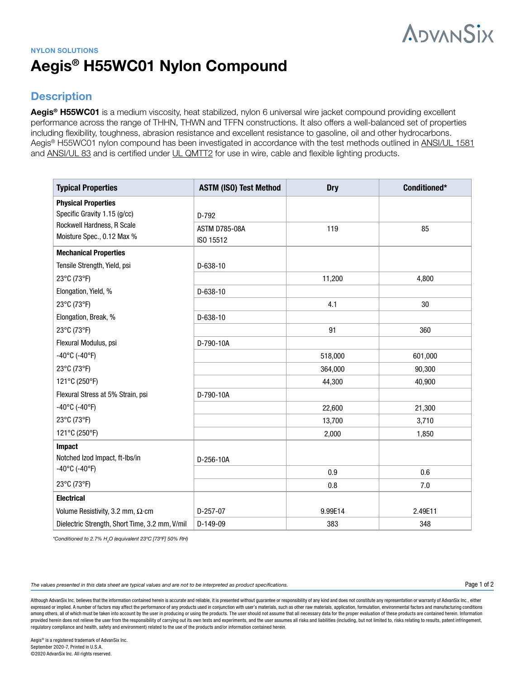# **ADVANSIX**

## **NYLON SOLUTIONS Aegis® H55WC01 Nylon Compound**

## **Description**

**Aegis® H55WC01** is a medium viscosity, heat stabilized, nylon 6 universal wire jacket compound providing excellent performance across the range of THHN, THWN and TFFN constructions. It also offers a well-balanced set of properties including flexibility, toughness, abrasion resistance and excellent resistance to gasoline, oil and other hydrocarbons. Aegis® H55WC01 nylon compound has been investigated in accordance with the test methods outlined in [ANSI/UL 1581](https://standardscatalog.ul.com/standards/en/standard_1581_4) and [ANSI/UL 83](https://standardscatalog.ul.com/standards/en/standard_83_16) and is certified under [UL QMTT2](https://iq2.ulprospector.com/session/new?redirect=http%3a%2f%2fiq.ulprospector.com%2fen%2fsearch%2flegacy%3furl%3dsrchres.html%25253Fcollection%25253D%2fdata3%2fverity_collections%2flisext%252526vdkhome%25253D%2fdata3%2fverity_sw_rev24%2fcommon%252526SORT_BY%25253Dtextlines%3aasc%2cccnshorttitle%3aasc%252526query%25253DQMTT2%25253CIN%25253ECCN%2band%2bnot%2bGUIDEINFO) for use in wire, cable and flexible lighting products.

| <b>Typical Properties</b>                      | <b>ASTM (ISO) Test Method</b> | <b>Dry</b> | Conditioned* |
|------------------------------------------------|-------------------------------|------------|--------------|
| <b>Physical Properties</b>                     |                               |            |              |
| Specific Gravity 1.15 (g/cc)                   | D-792                         |            |              |
| Rockwell Hardness, R Scale                     | <b>ASTM D785-08A</b>          | 119        | 85           |
| Moisture Spec., 0.12 Max %                     | ISO 15512                     |            |              |
| <b>Mechanical Properties</b>                   |                               |            |              |
| Tensile Strength, Yield, psi                   | $D-638-10$                    |            |              |
| 23°C (73°F)                                    |                               | 11,200     | 4,800        |
| Elongation, Yield, %                           | $D-638-10$                    |            |              |
| 23°C (73°F)                                    |                               | 4.1        | 30           |
| Elongation, Break, %                           | $D-638-10$                    |            |              |
| 23°C (73°F)                                    |                               | 91         | 360          |
| Flexural Modulus, psi                          | D-790-10A                     |            |              |
| $-40^{\circ}$ C (-40°F)                        |                               | 518,000    | 601,000      |
| 23°C (73°F)                                    |                               | 364,000    | 90,300       |
| 121°C (250°F)                                  |                               | 44,300     | 40,900       |
| Flexural Stress at 5% Strain, psi              | D-790-10A                     |            |              |
| $-40^{\circ}$ C (-40°F)                        |                               | 22,600     | 21,300       |
| 23°C (73°F)                                    |                               | 13,700     | 3,710        |
| 121°C (250°F)                                  |                               | 2,000      | 1,850        |
| Impact                                         |                               |            |              |
| Notched Izod Impact, ft-Ibs/in                 | D-256-10A                     |            |              |
| $-40^{\circ}$ C (-40°F)                        |                               | 0.9        | 0.6          |
| 23°C (73°F)                                    |                               | 0.8        | 7.0          |
| <b>Electrical</b>                              |                               |            |              |
| Volume Resistivity, 3.2 mm, $\Omega$ ·cm       | $D-257-07$                    | 9.99E14    | 2.49E11      |
| Dielectric Strength, Short Time, 3.2 mm, V/mil | D-149-09                      | 383        | 348          |

*\*Conditioned to 2.7% H2 O (equivalent 23ºC [73ºF] 50% RH)* 

*The values presented in this data sheet are typical values and are not to be interpreted as product specifications.*

Although AdvanSix Inc. believes that the information contained herein is accurate and reliable, it is presented without guarantee or responsibility of any kind and does not constitute any representation or warranty of Adva expressed or implied. A number of factors may affect the performance of any products used in conjunction with user's materials, such as other raw materials, application, formulation, environmental factors and manufacturing among others, all of which must be taken into account by the user in producing or using the products. The user should not assume that all necessary data for the proper evaluation of these products are contained herein. Inf provided herein does not relieve the user from the responsibility of carrying out its own tests and experiments, and the user assumes all risks and liabilities (including, but not limited to, risks relating to results, pat regulatory compliance and health, safety and environment) related to the use of the products and/or information contained herein.